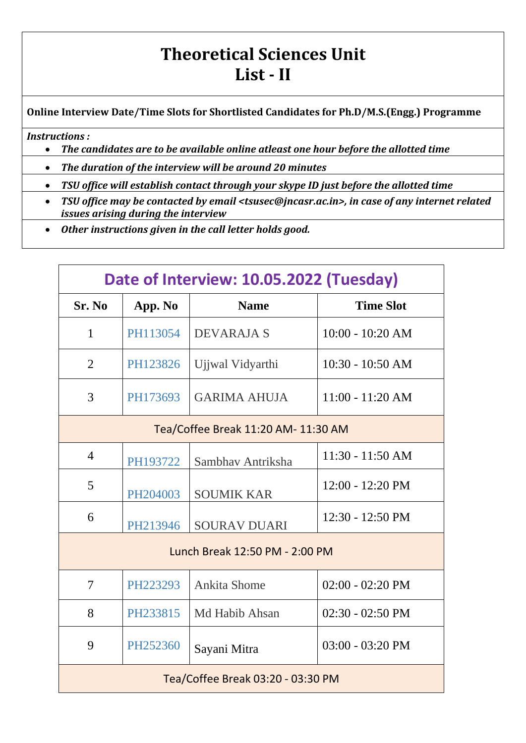## **Theoretical Sciences Unit List - II**

**Online Interview Date/Time Slots for Shortlisted Candidates for Ph.D/M.S.(Engg.) Programme**

## *Instructions :*

- *The candidates are to be available online atleast one hour before the allotted time*
- *The duration of the interview will be around 20 minutes*
- *TSU office will establish contact through your skype ID just before the allotted time*
- *TSU office may be contacted by email <tsusec@jncasr.ac.in>, in case of any internet related issues arising during the interview*
- *Other instructions given in the call letter holds good.*

| Date of Interview: 10.05.2022 (Tuesday) |          |                     |                            |
|-----------------------------------------|----------|---------------------|----------------------------|
| Sr. No                                  | App. No  | <b>Name</b>         | <b>Time Slot</b>           |
| $\mathbf{1}$                            | PH113054 | DEVARAJA S          | $10:00 - 10:20 AM$         |
| $\overline{2}$                          | PH123826 | Ujjwal Vidyarthi    | $10:30 - 10:50$ AM         |
| 3                                       | PH173693 | <b>GARIMA AHUJA</b> | $11:00 - 11:20 AM$         |
| Tea/Coffee Break 11:20 AM- 11:30 AM     |          |                     |                            |
| $\overline{4}$                          | PH193722 | Sambhay Antriksha   | 11:30 - 11:50 AM           |
| 5                                       | PH204003 | <b>SOUMIK KAR</b>   | 12:00 - 12:20 PM           |
| 6                                       | PH213946 | <b>SOURAV DUARI</b> | $12:30 - 12:50 \text{ PM}$ |
| Lunch Break 12:50 PM - 2:00 PM          |          |                     |                            |
| 7                                       | PH223293 | <b>Ankita Shome</b> | $02:00 - 02:20 \text{ PM}$ |
| 8                                       | PH233815 | Md Habib Ahsan      | $02:30 - 02:50 \text{ PM}$ |
| 9                                       | PH252360 | Sayani Mitra        | $03:00 - 03:20 \text{ PM}$ |
| Tea/Coffee Break 03:20 - 03:30 PM       |          |                     |                            |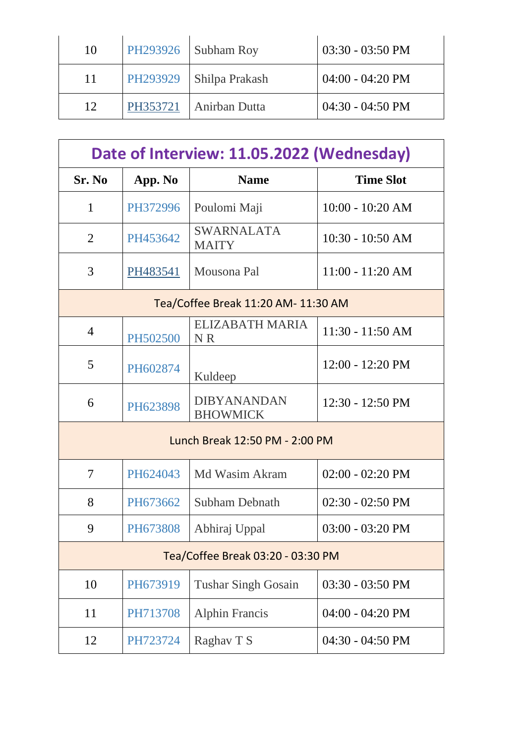| 10 |          | PH293926   Subham Roy     | 03:30 - 03:50 PM           |
|----|----------|---------------------------|----------------------------|
| 11 |          | PH293929   Shilpa Prakash | $04:00 - 04:20 \text{ PM}$ |
| 12 | PH353721 | Anirban Dutta             | $04:30 - 04:50 \text{ PM}$ |

| Date of Interview: 11.05.2022 (Wednesday) |          |                                       |                            |
|-------------------------------------------|----------|---------------------------------------|----------------------------|
| Sr. No                                    | App. No  | <b>Name</b>                           | <b>Time Slot</b>           |
| $\mathbf{1}$                              | PH372996 | Poulomi Maji                          | $10:00 - 10:20 AM$         |
| $\overline{2}$                            | PH453642 | <b>SWARNALATA</b><br><b>MAITY</b>     | $10:30 - 10:50$ AM         |
| 3                                         | PH483541 | Mousona Pal                           | $11:00 - 11:20 AM$         |
| Tea/Coffee Break 11:20 AM- 11:30 AM       |          |                                       |                            |
| $\overline{4}$                            | PH502500 | <b>ELIZABATH MARIA</b><br><b>NR</b>   | $11:30 - 11:50 AM$         |
| 5                                         | PH602874 | Kuldeep                               | $12:00 - 12:20 \text{ PM}$ |
| 6                                         | PH623898 | <b>DIBYANANDAN</b><br><b>BHOWMICK</b> | $12:30 - 12:50 \text{ PM}$ |
| Lunch Break 12:50 PM - 2:00 PM            |          |                                       |                            |
| 7                                         | PH624043 | Md Wasim Akram                        | $02:00 - 02:20 \text{ PM}$ |
| 8                                         | PH673662 | <b>Subham Debnath</b>                 | $02:30 - 02:50 \text{ PM}$ |
| 9                                         | PH673808 | Abhiraj Uppal                         | $03:00 - 03:20 \text{ PM}$ |
| Tea/Coffee Break 03:20 - 03:30 PM         |          |                                       |                            |
| 10                                        | PH673919 | <b>Tushar Singh Gosain</b>            | 03:30 - 03:50 PM           |
| 11                                        | PH713708 | <b>Alphin Francis</b>                 | $04:00 - 04:20$ PM         |
| 12                                        | PH723724 | Raghav T S                            | $04:30 - 04:50 \text{ PM}$ |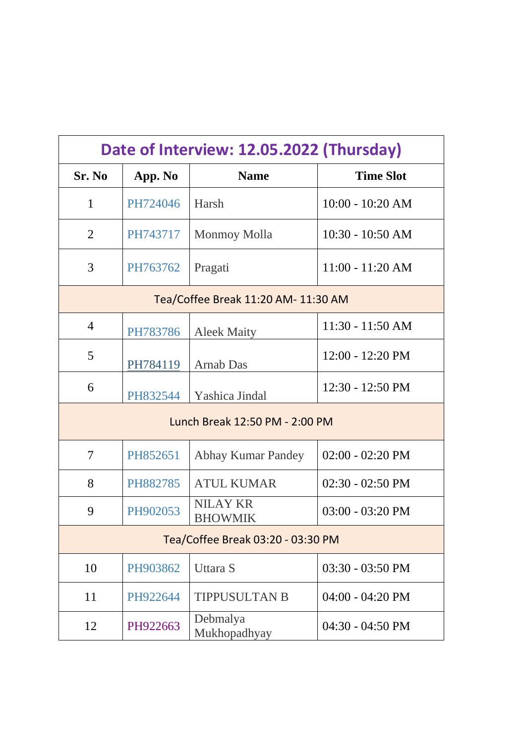| Date of Interview: 12.05.2022 (Thursday) |          |                                   |                            |
|------------------------------------------|----------|-----------------------------------|----------------------------|
| Sr. No                                   | App. No  | <b>Name</b>                       | <b>Time Slot</b>           |
| 1                                        | PH724046 | Harsh                             | $10:00 - 10:20 AM$         |
| 2                                        | PH743717 | <b>Monmoy Molla</b>               | $10:30 - 10:50$ AM         |
| 3                                        | PH763762 | Pragati                           | $11:00 - 11:20 AM$         |
| Tea/Coffee Break 11:20 AM- 11:30 AM      |          |                                   |                            |
| $\overline{4}$                           | PH783786 | <b>Aleek Maity</b>                | 11:30 - 11:50 AM           |
| 5                                        | PH784119 | <b>Arnab Das</b>                  | $12:00 - 12:20 \text{ PM}$ |
| 6                                        | PH832544 | Yashica Jindal                    | $12:30 - 12:50 \text{ PM}$ |
| Lunch Break 12:50 PM - 2:00 PM           |          |                                   |                            |
| 7                                        | PH852651 | <b>Abhay Kumar Pandey</b>         | $02:00 - 02:20 \text{ PM}$ |
| 8                                        | PH882785 | <b>ATUL KUMAR</b>                 | $02:30 - 02:50 \text{ PM}$ |
| 9                                        | PH902053 | <b>NILAY KR</b><br><b>BHOWMIK</b> | $03:00 - 03:20 \text{ PM}$ |
| Tea/Coffee Break 03:20 - 03:30 PM        |          |                                   |                            |
| 10                                       | PH903862 | Uttara S                          | $03:30 - 03:50 \text{ PM}$ |
| 11                                       | PH922644 | <b>TIPPUSULTAN B</b>              | 04:00 - 04:20 PM           |
| 12                                       | PH922663 | Debmalya<br>Mukhopadhyay          | $04:30 - 04:50 \text{ PM}$ |